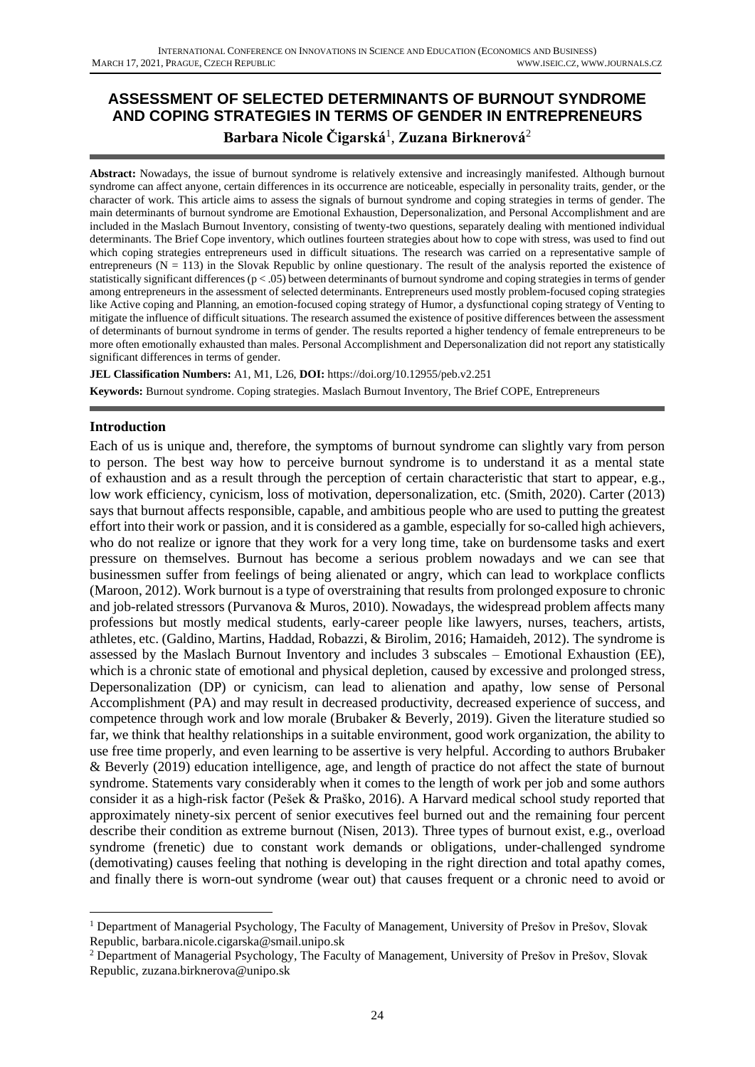# **ASSESSMENT OF SELECTED DETERMINANTS OF BURNOUT SYNDROME AND COPING STRATEGIES IN TERMS OF GENDER IN ENTREPRENEURS Barbara Nicole Čigarská**<sup>1</sup> , **Zuzana Birknerová**<sup>2</sup>

**Abstract:** Nowadays, the issue of burnout syndrome is relatively extensive and increasingly manifested. Although burnout syndrome can affect anyone, certain differences in its occurrence are noticeable, especially in personality traits, gender, or the character of work. This article aims to assess the signals of burnout syndrome and coping strategies in terms of gender. The main determinants of burnout syndrome are Emotional Exhaustion, Depersonalization, and Personal Accomplishment and are included in the Maslach Burnout Inventory, consisting of twenty-two questions, separately dealing with mentioned individual determinants. The Brief Cope inventory, which outlines fourteen strategies about how to cope with stress, was used to find out which coping strategies entrepreneurs used in difficult situations. The research was carried on a representative sample of entrepreneurs ( $N = 113$ ) in the Slovak Republic by online questionary. The result of the analysis reported the existence of statistically significant differences ( $p < .05$ ) between determinants of burnout syndrome and coping strategies in terms of gender among entrepreneurs in the assessment of selected determinants. Entrepreneurs used mostly problem-focused coping strategies like Active coping and Planning, an emotion-focused coping strategy of Humor, a dysfunctional coping strategy of Venting to mitigate the influence of difficult situations. The research assumed the existence of positive differences between the assessment of determinants of burnout syndrome in terms of gender. The results reported a higher tendency of female entrepreneurs to be more often emotionally exhausted than males. Personal Accomplishment and Depersonalization did not report any statistically significant differences in terms of gender.

**JEL Classification Numbers:** A1, M1, L26, **DOI:** https://doi.org/10.12955/peb.v2.251 **Keywords:** Burnout syndrome. Coping strategies. Maslach Burnout Inventory, The Brief COPE, Entrepreneurs

### **Introduction**

Each of us is unique and, therefore, the symptoms of burnout syndrome can slightly vary from person to person. The best way how to perceive burnout syndrome is to understand it as a mental state of exhaustion and as a result through the perception of certain characteristic that start to appear, e.g., low work efficiency, cynicism, loss of motivation, depersonalization, etc. (Smith, 2020). Carter (2013) says that burnout affects responsible, capable, and ambitious people who are used to putting the greatest effort into their work or passion, and it is considered as a gamble, especially for so-called high achievers, who do not realize or ignore that they work for a very long time, take on burdensome tasks and exert pressure on themselves. Burnout has become a serious problem nowadays and we can see that businessmen suffer from feelings of being alienated or angry, which can lead to workplace conflicts (Maroon, 2012). Work burnout is a type of overstraining that results from prolonged exposure to chronic and job-related stressors (Purvanova & Muros, 2010). Nowadays, the widespread problem affects many professions but mostly medical students, early-career people like lawyers, nurses, teachers, artists, athletes, etc. (Galdino, Martins, Haddad, Robazzi, & Birolim, 2016; Hamaideh, 2012). The syndrome is assessed by the Maslach Burnout Inventory and includes 3 subscales – Emotional Exhaustion (EE), which is a chronic state of emotional and physical depletion, caused by excessive and prolonged stress, Depersonalization (DP) or cynicism, can lead to alienation and apathy, low sense of Personal Accomplishment (PA) and may result in decreased productivity, decreased experience of success, and competence through work and low morale (Brubaker & Beverly, 2019). Given the literature studied so far, we think that healthy relationships in a suitable environment, good work organization, the ability to use free time properly, and even learning to be assertive is very helpful. According to authors Brubaker & Beverly (2019) education intelligence, age, and length of practice do not affect the state of burnout syndrome. Statements vary considerably when it comes to the length of work per job and some authors consider it as a high-risk factor (Pešek & Praško, 2016). A Harvard medical school study reported that approximately ninety-six percent of senior executives feel burned out and the remaining four percent describe their condition as extreme burnout (Nisen, 2013). Three types of burnout exist, e.g., overload syndrome (frenetic) due to constant work demands or obligations, under-challenged syndrome (demotivating) causes feeling that nothing is developing in the right direction and total apathy comes, and finally there is worn-out syndrome (wear out) that causes frequent or a chronic need to avoid or

<sup>&</sup>lt;sup>1</sup> Department of Managerial Psychology, The Faculty of Management, University of Prešov in Prešov, Slovak Republic, barbara.nicole.cigarska@smail.unipo.sk

<sup>2</sup> Department of Managerial Psychology, The Faculty of Management, University of Prešov in Prešov, Slovak Republic, [zuzana.birknerova@unipo.sk](mailto:zuzana.birknerova@unipo.sk)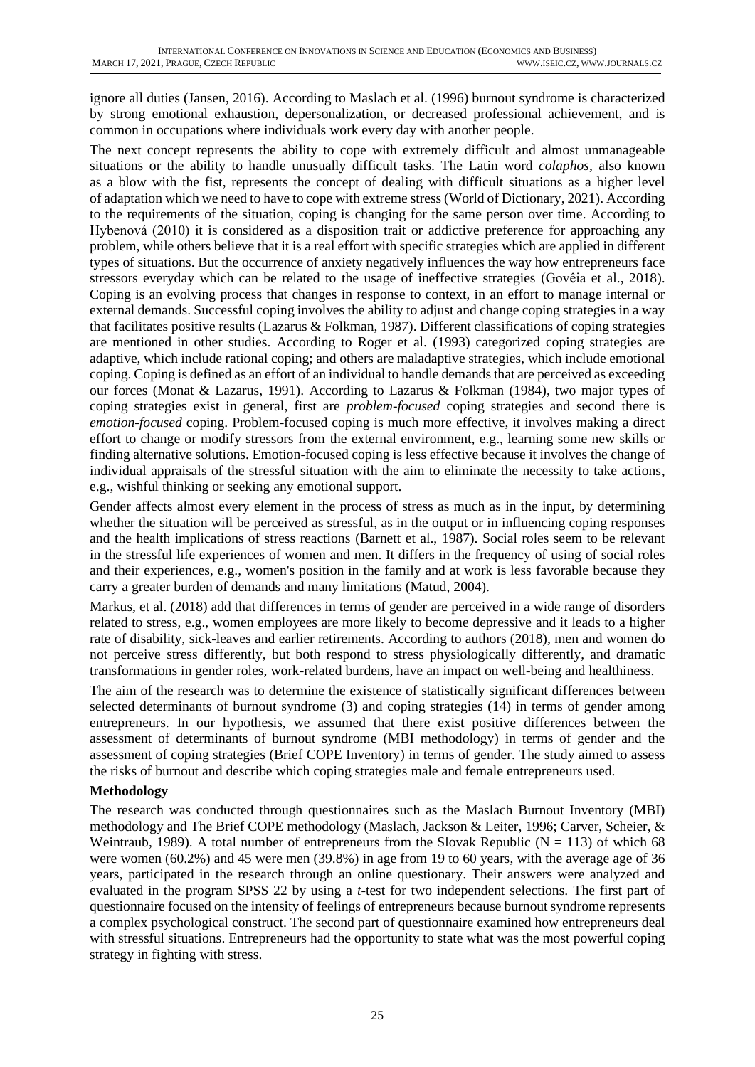ignore all duties (Jansen, 2016). According to Maslach et al. (1996) burnout syndrome is characterized by strong emotional exhaustion, depersonalization, or decreased professional achievement, and is common in occupations where individuals work every day with another people.

The next concept represents the ability to cope with extremely difficult and almost unmanageable situations or the ability to handle unusually difficult tasks. The Latin word *colaphos*, also known as a blow with the fist, represents the concept of dealing with difficult situations as a higher level of adaptation which we need to have to cope with extreme stress (World of Dictionary, 2021). According to the requirements of the situation, coping is changing for the same person over time. According to Hybenová (2010) it is considered as a disposition trait or addictive preference for approaching any problem, while others believe that it is a real effort with specific strategies which are applied in different types of situations. But the occurrence of anxiety negatively influences the way how entrepreneurs face stressors everyday which can be related to the usage of ineffective strategies (Govêia et al., 2018). Coping is an evolving process that changes in response to context, in an effort to manage internal or external demands. Successful coping involves the ability to adjust and change coping strategies in a way that facilitates positive results (Lazarus & Folkman, 1987). Different classifications of coping strategies are mentioned in other studies. According to Roger et al. (1993) categorized coping strategies are adaptive, which include rational coping; and others are maladaptive strategies, which include emotional coping. Coping is defined as an effort of an individual to handle demands that are perceived as exceeding our forces (Monat & Lazarus, 1991). According to Lazarus & Folkman (1984), two major types of coping strategies exist in general, first are *problem-focused* coping strategies and second there is *emotion-focused* coping. Problem-focused coping is much more effective, it involves making a direct effort to change or modify stressors from the external environment, e.g., learning some new skills or finding alternative solutions. Emotion-focused coping is less effective because it involves the change of individual appraisals of the stressful situation with the aim to eliminate the necessity to take actions, e.g., wishful thinking or seeking any emotional support.

Gender affects almost every element in the process of stress as much as in the input, by determining whether the situation will be perceived as stressful, as in the output or in influencing coping responses and the health implications of stress reactions (Barnett et al., 1987). Social roles seem to be relevant in the stressful life experiences of women and men. It differs in the frequency of using of social roles and their experiences, e.g., women's position in the family and at work is less favorable because they carry a greater burden of demands and many limitations (Matud, 2004).

Markus, et al. (2018) add that differences in terms of gender are perceived in a wide range of disorders related to stress, e.g., women employees are more likely to become depressive and it leads to a higher rate of disability, sick-leaves and earlier retirements. According to authors (2018), men and women do not perceive stress differently, but both respond to stress physiologically differently, and dramatic transformations in gender roles, work-related burdens, have an impact on well-being and healthiness.

The aim of the research was to determine the existence of statistically significant differences between selected determinants of burnout syndrome (3) and coping strategies (14) in terms of gender among entrepreneurs. In our hypothesis, we assumed that there exist positive differences between the assessment of determinants of burnout syndrome (MBI methodology) in terms of gender and the assessment of coping strategies (Brief COPE Inventory) in terms of gender. The study aimed to assess the risks of burnout and describe which coping strategies male and female entrepreneurs used.

# **Methodology**

The research was conducted through questionnaires such as the Maslach Burnout Inventory (MBI) methodology and The Brief COPE methodology (Maslach, Jackson & Leiter, 1996; Carver, Scheier, & Weintraub, 1989). A total number of entrepreneurs from the Slovak Republic ( $N = 113$ ) of which 68 were women (60.2%) and 45 were men (39.8%) in age from 19 to 60 years, with the average age of 36 years, participated in the research through an online questionary. Their answers were analyzed and evaluated in the program SPSS 22 by using a *t*-test for two independent selections. The first part of questionnaire focused on the intensity of feelings of entrepreneurs because burnout syndrome represents a complex psychological construct. The second part of questionnaire examined how entrepreneurs deal with stressful situations. Entrepreneurs had the opportunity to state what was the most powerful coping strategy in fighting with stress.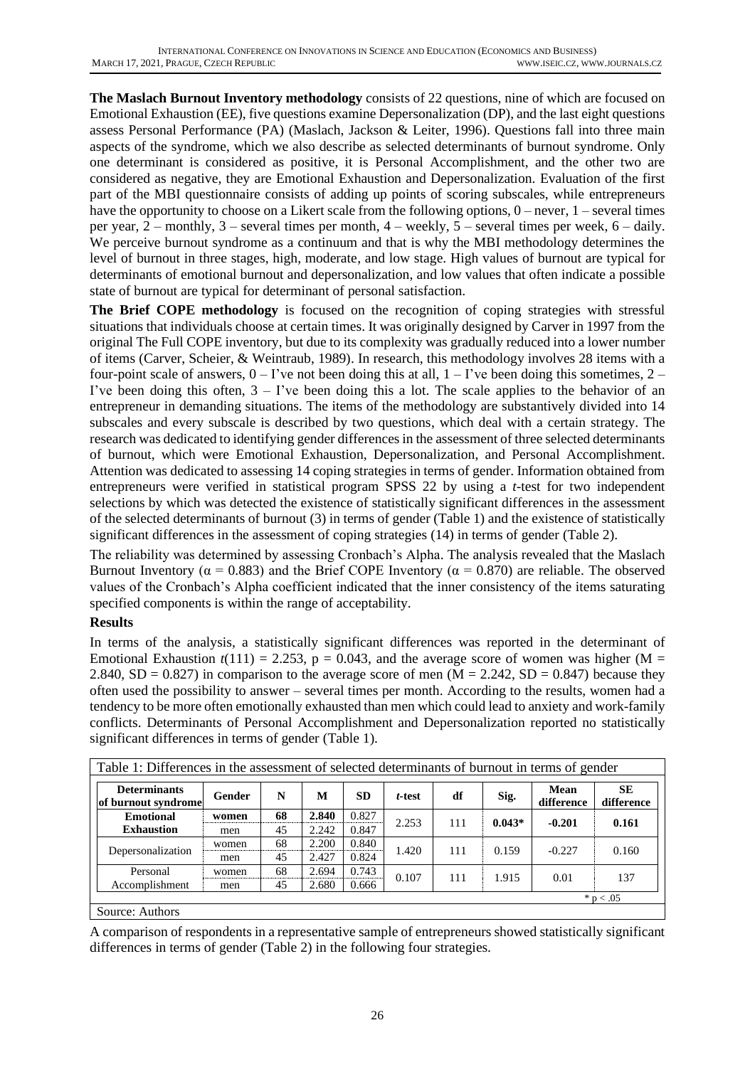**The Maslach Burnout Inventory methodology** consists of 22 questions, nine of which are focused on Emotional Exhaustion (EE), five questions examine Depersonalization (DP), and the last eight questions assess Personal Performance (PA) (Maslach, Jackson & Leiter, 1996). Questions fall into three main aspects of the syndrome, which we also describe as selected determinants of burnout syndrome. Only one determinant is considered as positive, it is Personal Accomplishment, and the other two are considered as negative, they are Emotional Exhaustion and Depersonalization. Evaluation of the first part of the MBI questionnaire consists of adding up points of scoring subscales, while entrepreneurs have the opportunity to choose on a Likert scale from the following options,  $0$  – never,  $1$  – several times per year, 2 – monthly, 3 – several times per month, 4 – weekly, 5 – several times per week, 6 – daily. We perceive burnout syndrome as a continuum and that is why the MBI methodology determines the level of burnout in three stages, high, moderate, and low stage. High values of burnout are typical for determinants of emotional burnout and depersonalization, and low values that often indicate a possible state of burnout are typical for determinant of personal satisfaction.

**The Brief COPE methodology** is focused on the recognition of coping strategies with stressful situations that individuals choose at certain times. It was originally designed by Carver in 1997 from the original The Full COPE inventory, but due to its complexity was gradually reduced into a lower number of items (Carver, Scheier, & Weintraub, 1989). In research, this methodology involves 28 items with a four-point scale of answers,  $0 - I'$  ve not been doing this at all,  $1 - I'$  ve been doing this sometimes,  $2 - I'$ I've been doing this often,  $3 - 1$ 've been doing this a lot. The scale applies to the behavior of an entrepreneur in demanding situations. The items of the methodology are substantively divided into 14 subscales and every subscale is described by two questions, which deal with a certain strategy. The research was dedicated to identifying gender differences in the assessment of three selected determinants of burnout, which were Emotional Exhaustion, Depersonalization, and Personal Accomplishment. Attention was dedicated to assessing 14 coping strategies in terms of gender. Information obtained from entrepreneurs were verified in statistical program SPSS 22 by using a *t*-test for two independent selections by which was detected the existence of statistically significant differences in the assessment of the selected determinants of burnout (3) in terms of gender (Table 1) and the existence of statistically significant differences in the assessment of coping strategies (14) in terms of gender (Table 2).

The reliability was determined by assessing Cronbach's Alpha. The analysis revealed that the Maslach Burnout Inventory ( $\alpha = 0.883$ ) and the Brief COPE Inventory ( $\alpha = 0.870$ ) are reliable. The observed values of the Cronbach's Alpha coefficient indicated that the inner consistency of the items saturating specified components is within the range of acceptability.

# **Results**

In terms of the analysis, a statistically significant differences was reported in the determinant of Emotional Exhaustion  $t(111) = 2.253$ ,  $p = 0.043$ , and the average score of women was higher (M = 2.840,  $SD = 0.827$ ) in comparison to the average score of men (M = 2.242,  $SD = 0.847$ ) because they often used the possibility to answer – several times per month. According to the results, women had a tendency to be more often emotionally exhausted than men which could lead to anxiety and work-family conflicts. Determinants of Personal Accomplishment and Depersonalization reported no statistically significant differences in terms of gender (Table 1).

| Table 1: Differences in the assessment of selected determinants of burnout in terms of gender |        |    |       |           |        |     |          |                           |                         |  |
|-----------------------------------------------------------------------------------------------|--------|----|-------|-----------|--------|-----|----------|---------------------------|-------------------------|--|
| <b>Determinants</b><br>of burnout syndrome                                                    | Gender | N  | M     | <b>SD</b> | t-test | df  | Sig.     | <b>Mean</b><br>difference | <b>SE</b><br>difference |  |
| <b>Emotional</b><br><b>Exhaustion</b>                                                         | women  | 68 | 2.840 | 0.827     | 2.253  | 111 | $0.043*$ | $-0.201$                  | 0.161                   |  |
|                                                                                               | men    | 45 | 2.242 | 0.847     |        |     |          |                           |                         |  |
| Depersonalization                                                                             | women  | 68 | 2.200 | 0.840     | 1.420  | 111 | 0.159    | $-0.227$                  | 0.160                   |  |
|                                                                                               | men    | 45 | 2.427 | 0.824     |        |     |          |                           |                         |  |
| Personal<br>Accomplishment                                                                    | women  | 68 | 2.694 | 0.743     | 0.107  | 111 | 1.915    | 0.01                      | 137                     |  |
|                                                                                               | men    | 45 | 2.680 | 0.666     |        |     |          |                           |                         |  |
|                                                                                               |        |    |       |           |        |     |          |                           | * $p < .05$             |  |
| $S_{\alpha}$                                                                                  |        |    |       |           |        |     |          |                           |                         |  |

Source: Authors

A comparison of respondents in a representative sample of entrepreneurs showed statistically significant differences in terms of gender (Table 2) in the following four strategies.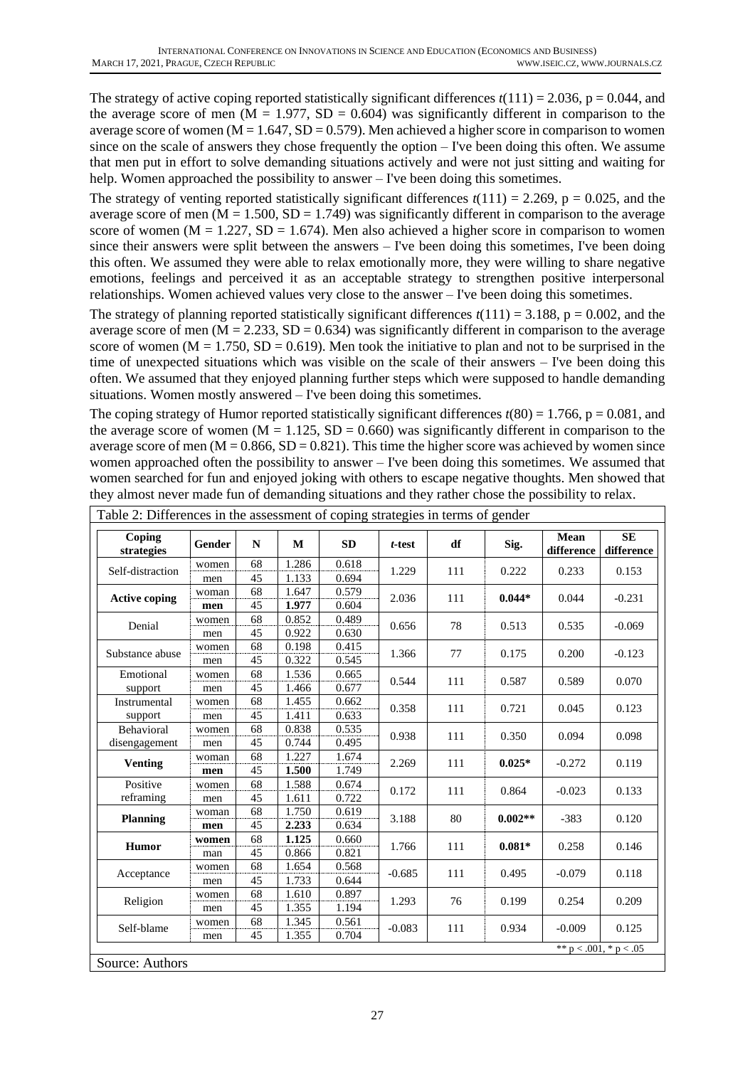The strategy of active coping reported statistically significant differences  $t(111) = 2.036$ ,  $p = 0.044$ , and the average score of men  $(M = 1.977, SD = 0.604)$  was significantly different in comparison to the average score of women  $(M = 1.647, SD = 0.579)$ . Men achieved a higher score in comparison to women since on the scale of answers they chose frequently the option – I've been doing this often. We assume that men put in effort to solve demanding situations actively and were not just sitting and waiting for help. Women approached the possibility to answer – I've been doing this sometimes.

The strategy of venting reported statistically significant differences  $t(111) = 2.269$ ,  $p = 0.025$ , and the average score of men  $(M = 1.500, SD = 1.749)$  was significantly different in comparison to the average score of women ( $M = 1.227$ ,  $SD = 1.674$ ). Men also achieved a higher score in comparison to women since their answers were split between the answers – I've been doing this sometimes, I've been doing this often. We assumed they were able to relax emotionally more, they were willing to share negative emotions, feelings and perceived it as an acceptable strategy to strengthen positive interpersonal relationships. Women achieved values very close to the answer – I've been doing this sometimes.

The strategy of planning reported statistically significant differences  $t(111) = 3.188$ ,  $p = 0.002$ , and the average score of men  $(M = 2.233, SD = 0.634)$  was significantly different in comparison to the average score of women ( $M = 1.750$ ,  $SD = 0.619$ ). Men took the initiative to plan and not to be surprised in the time of unexpected situations which was visible on the scale of their answers – I've been doing this often. We assumed that they enjoyed planning further steps which were supposed to handle demanding situations. Women mostly answered – I've been doing this sometimes.

The coping strategy of Humor reported statistically significant differences  $t(80) = 1.766$ ,  $p = 0.081$ , and the average score of women ( $M = 1.125$ ,  $SD = 0.660$ ) was significantly different in comparison to the average score of men  $(M = 0.866, SD = 0.821)$ . This time the higher score was achieved by women since women approached often the possibility to answer – I've been doing this sometimes. We assumed that women searched for fun and enjoyed joking with others to escape negative thoughts. Men showed that they almost never made fun of demanding situations and they rather chose the possibility to relax.

| Coping<br>strategies | Gender | N  | M     | <b>SD</b> | t-test       | df  | Sig.      | Mean<br>difference          | <b>SE</b><br>difference |
|----------------------|--------|----|-------|-----------|--------------|-----|-----------|-----------------------------|-------------------------|
| Self-distraction     | women  | 68 | 1.286 | 0.618     | 1.229        | 111 | 0.222     | 0.233                       | 0.153                   |
|                      | men    | 45 | 1.133 | 0.694     |              |     |           |                             |                         |
| <b>Active coping</b> | woman  | 68 | 1.647 | 0.579     | 2.036        | 111 | $0.044*$  | 0.044                       | $-0.231$                |
|                      | men    | 45 | 1.977 | 0.604     |              |     |           |                             |                         |
| Denial               | women  | 68 | 0.852 | 0.489     | 0.656        | 78  | 0.513     | 0.535                       | $-0.069$                |
|                      | men    | 45 | 0.922 | 0.630     |              |     |           |                             |                         |
| Substance abuse      | women  | 68 | 0.198 | 0.415     | 1.366        | 77  | 0.175     | 0.200                       | $-0.123$                |
|                      | men    | 45 | 0.322 | 0.545     |              |     |           |                             |                         |
| Emotional            | women  | 68 | 1.536 | 0.665     | 0.544        | 111 | 0.587     | 0.589                       | 0.070                   |
| support              | men    | 45 | 1.466 | 0.677     |              |     |           |                             |                         |
| Instrumental         | women  | 68 | 1.455 | 0.662     | 0.358        | 111 | 0.721     | 0.045                       | 0.123                   |
| support              | men    | 45 | 1.411 | 0.633     |              |     |           |                             |                         |
| Behavioral           | women  | 68 | 0.838 | 0.535     | 0.938<br>111 |     | 0.350     | 0.094                       | 0.098                   |
| disengagement        | men    | 45 | 0.744 | 0.495     |              |     |           |                             |                         |
| <b>Venting</b>       | woman  | 68 | 1.227 | 1.674     | 2.269        | 111 | $0.025*$  | $-0.272$                    | 0.119                   |
|                      | men    | 45 | 1.500 | 1.749     |              |     |           |                             |                         |
| Positive             | women  | 68 | 1.588 | 0.674     | 0.172        | 111 | 0.864     | $-0.023$                    | 0.133                   |
| reframing            | men    | 45 | 1.611 | 0.722     |              |     |           |                             |                         |
| <b>Planning</b>      | woman  | 68 | 1.750 | 0.619     | 3.188        | 80  | $0.002**$ | $-383$                      | 0.120                   |
|                      | men    | 45 | 2.233 | 0.634     |              |     |           |                             |                         |
| Humor                | women  | 68 | 1.125 | 0.660     | 1.766        | 111 | $0.081*$  | 0.258                       | 0.146                   |
|                      | man    | 45 | 0.866 | 0.821     |              |     |           |                             |                         |
| Acceptance           | women  | 68 | 1.654 | 0.568     | $-0.685$     | 111 | 0.495     | $-0.079$                    | 0.118                   |
|                      | men    | 45 | 1.733 | 0.644     |              |     |           |                             |                         |
| Religion             | women  | 68 | 1.610 | 0.897     | 1.293        | 76  | 0.199     | 0.254                       | 0.209                   |
|                      | men    | 45 | 1.355 | 1.194     |              |     |           |                             |                         |
| Self-blame           | women  | 68 | 1.345 | 0.561     | $-0.083$     | 111 | 0.934     | $-0.009$                    | 0.125                   |
|                      | men    | 45 | 1.355 | 0.704     |              |     |           | ** $p < .001$ , * $p < .05$ |                         |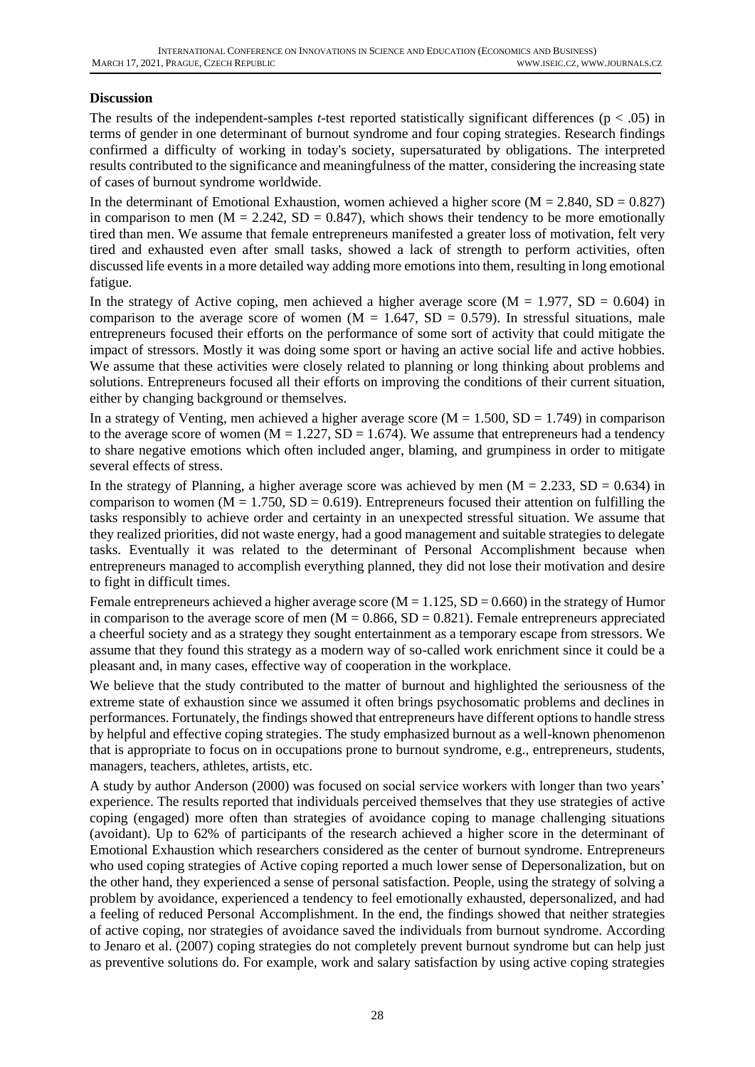# **Discussion**

The results of the independent-samples *t*-test reported statistically significant differences ( $p < .05$ ) in terms of gender in one determinant of burnout syndrome and four coping strategies. Research findings confirmed a difficulty of working in today's society, supersaturated by obligations. The interpreted results contributed to the significance and meaningfulness of the matter, considering the increasing state of cases of burnout syndrome worldwide.

In the determinant of Emotional Exhaustion, women achieved a higher score ( $M = 2.840$ ,  $SD = 0.827$ ) in comparison to men ( $M = 2.242$ ,  $SD = 0.847$ ), which shows their tendency to be more emotionally tired than men. We assume that female entrepreneurs manifested a greater loss of motivation, felt very tired and exhausted even after small tasks, showed a lack of strength to perform activities, often discussed life events in a more detailed way adding more emotions into them, resulting in long emotional fatigue.

In the strategy of Active coping, men achieved a higher average score ( $M = 1.977$ ,  $SD = 0.604$ ) in comparison to the average score of women  $(M = 1.647, SD = 0.579)$ . In stressful situations, male entrepreneurs focused their efforts on the performance of some sort of activity that could mitigate the impact of stressors. Mostly it was doing some sport or having an active social life and active hobbies. We assume that these activities were closely related to planning or long thinking about problems and solutions. Entrepreneurs focused all their efforts on improving the conditions of their current situation, either by changing background or themselves.

In a strategy of Venting, men achieved a higher average score  $(M = 1.500, SD = 1.749)$  in comparison to the average score of women  $(M = 1.227, SD = 1.674)$ . We assume that entrepreneurs had a tendency to share negative emotions which often included anger, blaming, and grumpiness in order to mitigate several effects of stress.

In the strategy of Planning, a higher average score was achieved by men  $(M = 2.233, SD = 0.634)$  in comparison to women  $(M = 1.750, SD = 0.619)$ . Entrepreneurs focused their attention on fulfilling the tasks responsibly to achieve order and certainty in an unexpected stressful situation. We assume that they realized priorities, did not waste energy, had a good management and suitable strategies to delegate tasks. Eventually it was related to the determinant of Personal Accomplishment because when entrepreneurs managed to accomplish everything planned, they did not lose their motivation and desire to fight in difficult times.

Female entrepreneurs achieved a higher average score ( $M = 1.125$ ,  $SD = 0.660$ ) in the strategy of Humor in comparison to the average score of men  $(M = 0.866, SD = 0.821)$ . Female entrepreneurs appreciated a cheerful society and as a strategy they sought entertainment as a temporary escape from stressors. We assume that they found this strategy as a modern way of so-called work enrichment since it could be a pleasant and, in many cases, effective way of cooperation in the workplace.

We believe that the study contributed to the matter of burnout and highlighted the seriousness of the extreme state of exhaustion since we assumed it often brings psychosomatic problems and declines in performances. Fortunately, the findings showed that entrepreneurs have different options to handle stress by helpful and effective coping strategies. The study emphasized burnout as a well-known phenomenon that is appropriate to focus on in occupations prone to burnout syndrome, e.g., entrepreneurs, students, managers, teachers, athletes, artists, etc.

A study by author Anderson (2000) was focused on social service workers with longer than two years' experience. The results reported that individuals perceived themselves that they use strategies of active coping (engaged) more often than strategies of avoidance coping to manage challenging situations (avoidant). Up to 62% of participants of the research achieved a higher score in the determinant of Emotional Exhaustion which researchers considered as the center of burnout syndrome. Entrepreneurs who used coping strategies of Active coping reported a much lower sense of Depersonalization, but on the other hand, they experienced a sense of personal satisfaction. People, using the strategy of solving a problem by avoidance, experienced a tendency to feel emotionally exhausted, depersonalized, and had a feeling of reduced Personal Accomplishment. In the end, the findings showed that neither strategies of active coping, nor strategies of avoidance saved the individuals from burnout syndrome. According to Jenaro et al. (2007) coping strategies do not completely prevent burnout syndrome but can help just as preventive solutions do. For example, work and salary satisfaction by using active coping strategies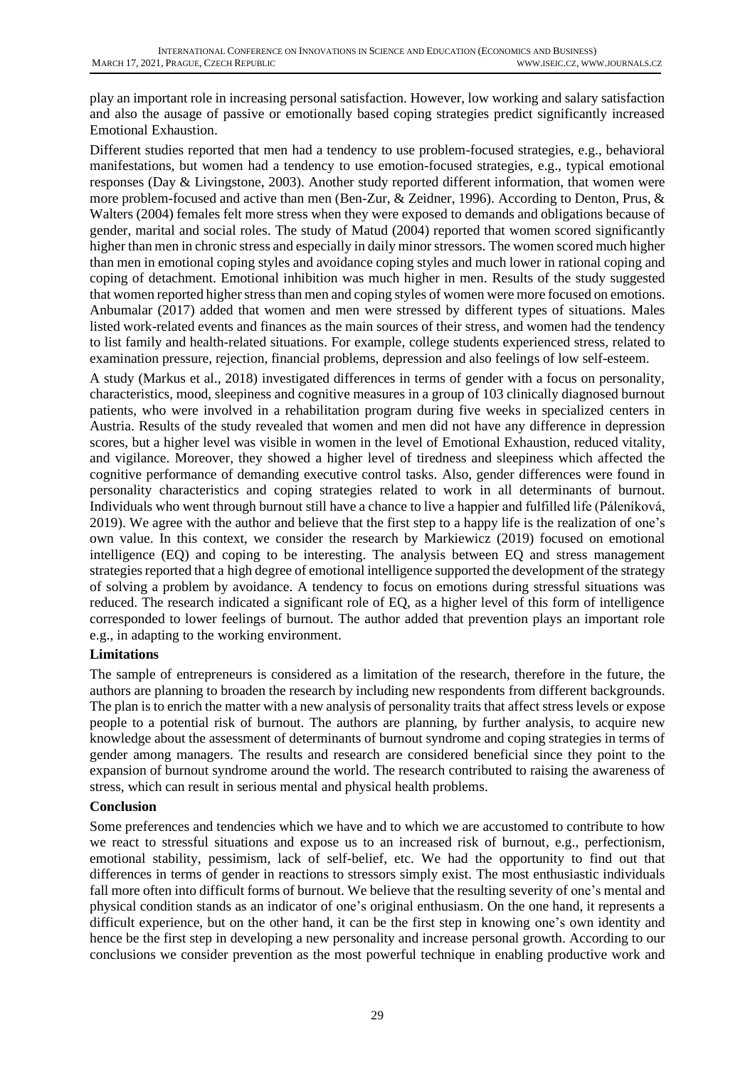play an important role in increasing personal satisfaction. However, low working and salary satisfaction and also the ausage of passive or emotionally based coping strategies predict significantly increased Emotional Exhaustion.

Different studies reported that men had a tendency to use problem-focused strategies, e.g., behavioral manifestations, but women had a tendency to use emotion-focused strategies, e.g., typical emotional responses (Day & Livingstone, 2003). Another study reported different information, that women were more problem-focused and active than men (Ben-Zur, & Zeidner, 1996). According to Denton, Prus, & Walters (2004) females felt more stress when they were exposed to demands and obligations because of gender, marital and social roles. The study of Matud (2004) reported that women scored significantly higher than men in chronic stress and especially in daily minor stressors. The women scored much higher than men in emotional coping styles and avoidance coping styles and much lower in rational coping and coping of detachment. Emotional inhibition was much higher in men. Results of the study suggested that women reported higher stress than men and coping styles of women were more focused on emotions. Anbumalar (2017) added that women and men were stressed by different types of situations. Males listed work-related events and finances as the main sources of their stress, and women had the tendency to list family and health-related situations. For example, college students experienced stress, related to examination pressure, rejection, financial problems, depression and also feelings of low self-esteem.

A study (Markus et al., 2018) investigated differences in terms of gender with a focus on personality, characteristics, mood, sleepiness and cognitive measures in a group of 103 clinically diagnosed burnout patients, who were involved in a rehabilitation program during five weeks in specialized centers in Austria. Results of the study revealed that women and men did not have any difference in depression scores, but a higher level was visible in women in the level of Emotional Exhaustion, reduced vitality, and vigilance. Moreover, they showed a higher level of tiredness and sleepiness which affected the cognitive performance of demanding executive control tasks. Also, gender differences were found in personality characteristics and coping strategies related to work in all determinants of burnout. Individuals who went through burnout still have a chance to live a happier and fulfilled life (Páleníková, 2019). We agree with the author and believe that the first step to a happy life is the realization of one's own value. In this context, we consider the research by Markiewicz (2019) focused on emotional intelligence (EQ) and coping to be interesting. The analysis between EQ and stress management strategies reported that a high degree of emotional intelligence supported the development of the strategy of solving a problem by avoidance. A tendency to focus on emotions during stressful situations was reduced. The research indicated a significant role of EQ, as a higher level of this form of intelligence corresponded to lower feelings of burnout. The author added that prevention plays an important role e.g., in adapting to the working environment.

# **Limitations**

The sample of entrepreneurs is considered as a limitation of the research, therefore in the future, the authors are planning to broaden the research by including new respondents from different backgrounds. The plan is to enrich the matter with a new analysis of personality traits that affect stress levels or expose people to a potential risk of burnout. The authors are planning, by further analysis, to acquire new knowledge about the assessment of determinants of burnout syndrome and coping strategies in terms of gender among managers. The results and research are considered beneficial since they point to the expansion of burnout syndrome around the world. The research contributed to raising the awareness of stress, which can result in serious mental and physical health problems.

# **Conclusion**

Some preferences and tendencies which we have and to which we are accustomed to contribute to how we react to stressful situations and expose us to an increased risk of burnout, e.g., perfectionism, emotional stability, pessimism, lack of self-belief, etc. We had the opportunity to find out that differences in terms of gender in reactions to stressors simply exist. The most enthusiastic individuals fall more often into difficult forms of burnout. We believe that the resulting severity of one's mental and physical condition stands as an indicator of one's original enthusiasm. On the one hand, it represents a difficult experience, but on the other hand, it can be the first step in knowing one's own identity and hence be the first step in developing a new personality and increase personal growth. According to our conclusions we consider prevention as the most powerful technique in enabling productive work and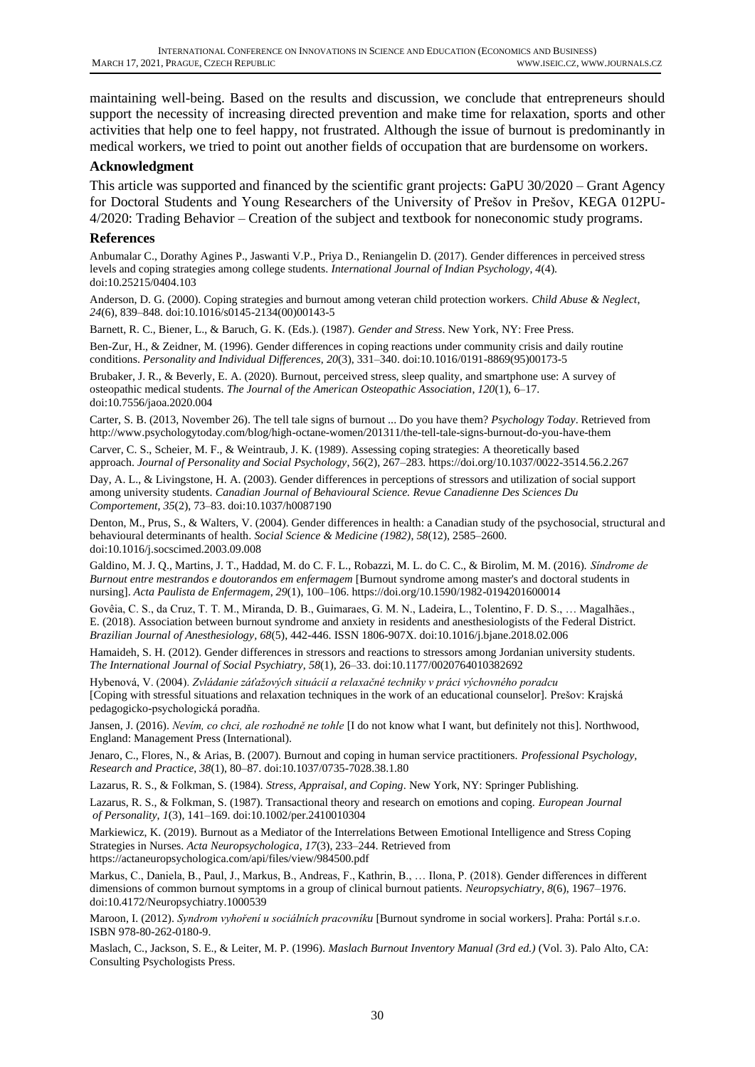maintaining well-being. Based on the results and discussion, we conclude that entrepreneurs should support the necessity of increasing directed prevention and make time for relaxation, sports and other activities that help one to feel happy, not frustrated. Although the issue of burnout is predominantly in medical workers, we tried to point out another fields of occupation that are burdensome on workers.

### **Acknowledgment**

This article was supported and financed by the scientific grant projects: GaPU 30/2020 – Grant Agency for Doctoral Students and Young Researchers of the University of Prešov in Prešov, KEGA 012PU-4/2020: Trading Behavior – Creation of the subject and textbook for noneconomic study programs.

#### **References**

Anbumalar C., Dorathy Agines P., Jaswanti V.P., Priya D., Reniangelin D. (2017). Gender differences in perceived stress levels and coping strategies among college students. *International Journal of Indian Psychology*, *4*(4). doi:10.25215/0404.103

Anderson, D. G. (2000). Coping strategies and burnout among veteran child protection workers. *Child Abuse & Neglect*, *24*(6), 839–848. doi:10.1016/s0145-2134(00)00143-5

Barnett, R. C., Biener, L., & Baruch, G. K. (Eds.). (1987). *Gender and Stress*. New York, NY: Free Press.

Ben-Zur, H., & Zeidner, M. (1996). Gender differences in coping reactions under community crisis and daily routine conditions. *Personality and Individual Differences*, *20*(3), 331–340. doi:10.1016/0191-8869(95)00173-5

Brubaker, J. R., & Beverly, E. A. (2020). Burnout, perceived stress, sleep quality, and smartphone use: A survey of osteopathic medical students. *The Journal of the American Osteopathic Association*, *120*(1), 6–17. doi:10.7556/jaoa.2020.004

Carter, S. B. (2013, November 26). The tell tale signs of burnout ... Do you have them? *Psychology Today*. Retrieved from <http://www.psychologytoday.com/blog/high-octane-women/201311/the-tell-tale-signs-burnout-do-you-have-them>

Carver, C. S., Scheier, M. F., & Weintraub, J. K. (1989). Assessing coping strategies: A theoretically based approach. *Journal of Personality and Social Psychology*, *56*(2), 267–283.<https://doi.org/10.1037/0022-3514.56.2.267>

Day, A. L., & Livingstone, H. A. (2003). Gender differences in perceptions of stressors and utilization of social support among university students. *Canadian Journal of Behavioural Science. Revue Canadienne Des Sciences Du Comportement*, *35*(2), 73–83. doi:10.1037/h0087190

Denton, M., Prus, S., & Walters, V. (2004). Gender differences in health: a Canadian study of the psychosocial, structural and behavioural determinants of health. *Social Science & Medicine (1982)*, *58*(12), 2585–2600. doi:10.1016/j.socscimed.2003.09.008

Galdino, M. J. Q., Martins, J. T., Haddad, M. do C. F. L., Robazzi, M. L. do C. C., & Birolim, M. M. (2016). *Síndrome de Burnout entre mestrandos e doutorandos em enfermagem* [Burnout syndrome among master's and doctoral students in nursing]. *Acta Paulista de Enfermagem*, *29*(1), 100–106. https://doi.org/10.1590/1982-0194201600014

Govêia, C. S., da Cruz, T. T. M., Miranda, D. B., Guimaraes, G. M. N., Ladeira, L., Tolentino, F. D. S., … Magalhães., E. (2018). Association between burnout syndrome and anxiety in residents and anesthesiologists of the Federal District. *Brazilian Journal of Anesthesiology, 68*(5), 442-446. ISSN 1806-907X. doi:10.1016/j.bjane.2018.02.006

Hamaideh, S. H. (2012). Gender differences in stressors and reactions to stressors among Jordanian university students. *The International Journal of Social Psychiatry*, *58*(1), 26–33. doi:10.1177/0020764010382692

Hybenová, V. (2004). *Zvládanie záťažových situácií a relaxačné techniky v práci výchovného poradcu* [Coping with stressful situations and relaxation techniques in the work of an educational counselor]. Prešov: Krajská pedagogicko-psychologická poradňa.

Jansen, J. (2016). *Nevím, co chci, ale rozhodně ne tohle* [I do not know what I want, but definitely not this]. Northwood, England: Management Press (International).

Jenaro, C., Flores, N., & Arias, B. (2007). Burnout and coping in human service practitioners. *Professional Psychology, Research and Practice*, *38*(1), 80–87. doi:10.1037/0735-7028.38.1.80

Lazarus, R. S., & Folkman, S. (1984). *Stress, Appraisal, and Coping*. New York, NY: Springer Publishing.

Lazarus, R. S., & Folkman, S. (1987). Transactional theory and research on emotions and coping. *European Journal of Personality*, *1*(3), 141–169. doi:10.1002/per.2410010304

Markiewicz, K. (2019). Burnout as a Mediator of the Interrelations Between Emotional Intelligence and Stress Coping Strategies in Nurses. *Acta Neuropsychologica*, *17*(3), 233–244. Retrieved from https://actaneuropsychologica.com/api/files/view/984500.pdf

Markus, C., Daniela, B., Paul, J., Markus, B., Andreas, F., Kathrin, B., … Ilona, P. (2018). Gender differences in different dimensions of common burnout symptoms in a group of clinical burnout patients. *Neuropsychiatry*, *8*(6), 1967–1976. doi:10.4172/Neuropsychiatry.1000539

Maroon, I. (2012). *Syndrom vyhoření u sociálních pracovníku* [Burnout syndrome in social workers]. Praha: Portál s.r.o. ISBN 978-80-262-0180-9.

Maslach, C., Jackson, S. E., & Leiter, M. P. (1996). *Maslach Burnout Inventory Manual (3rd ed.)* (Vol. 3). Palo Alto, CA: Consulting Psychologists Press.